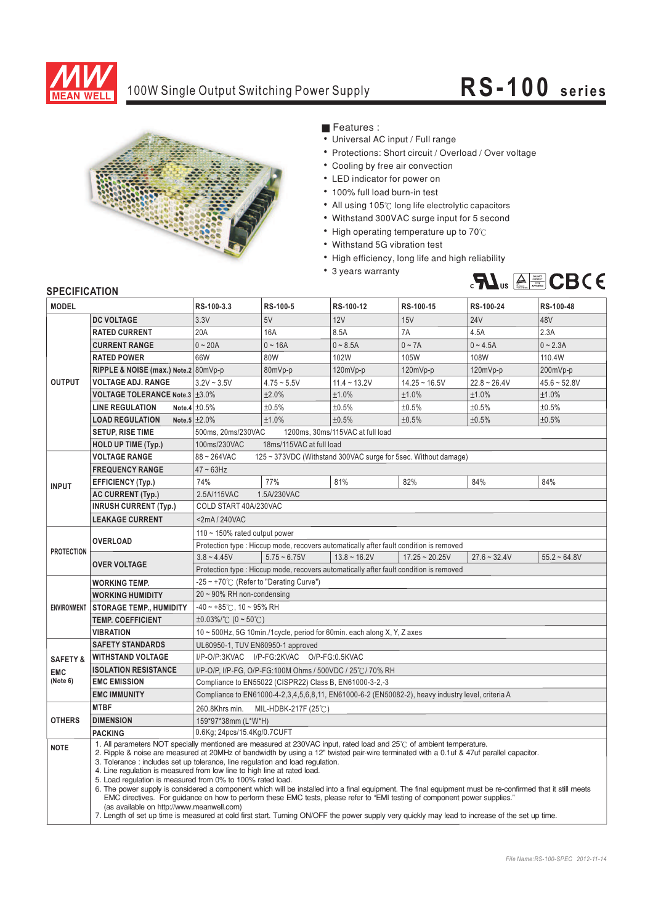

## 100W Single Output Switching Power Supply **RS-10 0 s eries**



**Features :** 

- Universal AC input / Full range
- Protections: Short circuit / Overload / Over voltage
- Cooling by free air convection
- LED indicator for power on
- 100% full load burn-in test
- ¡E¡E¡E¡E¡E¡E¡E¡E¡E¡E¡E All using  $105^\circ$ C long life electrolytic capacitors
- Withstand 300VAC surge input for 5 second
- High operating temperature up to  $70^{\circ}$
- Withstand 5G vibration test
- High efficiency, long life and high reliability
- 3 years warranty



## **SPECIFICATION**

| <b>MODEL</b>        |                                                      | RS-100-3.3                                                                                                                                                                                                                                                                                                                                                                                                                                                                                                                                                                                                                                                                                                                                                                                                                                                                                                                                | RS-100-5       | RS-100-12         | RS-100-15          | RS-100-24      | RS-100-48      |
|---------------------|------------------------------------------------------|-------------------------------------------------------------------------------------------------------------------------------------------------------------------------------------------------------------------------------------------------------------------------------------------------------------------------------------------------------------------------------------------------------------------------------------------------------------------------------------------------------------------------------------------------------------------------------------------------------------------------------------------------------------------------------------------------------------------------------------------------------------------------------------------------------------------------------------------------------------------------------------------------------------------------------------------|----------------|-------------------|--------------------|----------------|----------------|
|                     | <b>DC VOLTAGE</b>                                    | 3.3V                                                                                                                                                                                                                                                                                                                                                                                                                                                                                                                                                                                                                                                                                                                                                                                                                                                                                                                                      | 5V             | 12V               | 15V                | <b>24V</b>     | 48V            |
| <b>OUTPUT</b>       | <b>RATED CURRENT</b>                                 | 20A                                                                                                                                                                                                                                                                                                                                                                                                                                                                                                                                                                                                                                                                                                                                                                                                                                                                                                                                       | 16A            | 8.5A              | 7A                 | 4.5A           | 2.3A           |
|                     | <b>CURRENT RANGE</b>                                 | $0 - 20A$                                                                                                                                                                                                                                                                                                                                                                                                                                                                                                                                                                                                                                                                                                                                                                                                                                                                                                                                 | $0 - 16A$      | $0 - 8.5A$        | $0 \sim 7A$        | $0 - 4.5A$     | $0 - 2.3A$     |
|                     | <b>RATED POWER</b>                                   | 66W                                                                                                                                                                                                                                                                                                                                                                                                                                                                                                                                                                                                                                                                                                                                                                                                                                                                                                                                       | 80W            | 102W              | 105W               | 108W           | 110.4W         |
|                     | RIPPLE & NOISE (max.) Note.2 80mVp-p                 |                                                                                                                                                                                                                                                                                                                                                                                                                                                                                                                                                                                                                                                                                                                                                                                                                                                                                                                                           | 80mVp-p        | 120mVp-p          | 120mVp-p           | 120mVp-p       | 200mVp-p       |
|                     | <b>VOLTAGE ADJ. RANGE</b>                            | $3.2V - 3.5V$                                                                                                                                                                                                                                                                                                                                                                                                                                                                                                                                                                                                                                                                                                                                                                                                                                                                                                                             | $4.75 - 5.5V$  | $11.4 - 13.2V$    | $14.25 \sim 16.5V$ | $22.8 - 26.4V$ | $45.6 - 52.8V$ |
|                     | <b>VOLTAGE TOLERANCE Note.3 <math>\pm</math>3.0%</b> |                                                                                                                                                                                                                                                                                                                                                                                                                                                                                                                                                                                                                                                                                                                                                                                                                                                                                                                                           | ±2.0%          | ±1.0%             | ±1.0%              | ±1.0%          | ±1.0%          |
|                     | <b>LINE REGULATION</b>                               | Note.4 $\pm 0.5\%$                                                                                                                                                                                                                                                                                                                                                                                                                                                                                                                                                                                                                                                                                                                                                                                                                                                                                                                        | ±0.5%          | ±0.5%             | ±0.5%              | ±0.5%          | ±0.5%          |
|                     | <b>LOAD REGULATION</b>                               | Note.5 $\pm 2.0\%$                                                                                                                                                                                                                                                                                                                                                                                                                                                                                                                                                                                                                                                                                                                                                                                                                                                                                                                        | ±1.0%          | ±0.5%             | ±0.5%              | ±0.5%          | ±0.5%          |
|                     | <b>SETUP, RISE TIME</b>                              | 500ms, 20ms/230VAC<br>1200ms, 30ms/115VAC at full load                                                                                                                                                                                                                                                                                                                                                                                                                                                                                                                                                                                                                                                                                                                                                                                                                                                                                    |                |                   |                    |                |                |
|                     | <b>HOLD UP TIME (Typ.)</b>                           | 18ms/115VAC at full load<br>100ms/230VAC                                                                                                                                                                                                                                                                                                                                                                                                                                                                                                                                                                                                                                                                                                                                                                                                                                                                                                  |                |                   |                    |                |                |
|                     | <b>VOLTAGE RANGE</b>                                 | 88~264VAC<br>125 ~ 373VDC (Withstand 300VAC surge for 5sec. Without damage)                                                                                                                                                                                                                                                                                                                                                                                                                                                                                                                                                                                                                                                                                                                                                                                                                                                               |                |                   |                    |                |                |
| <b>INPUT</b>        | <b>FREQUENCY RANGE</b>                               | $47 \sim 63$ Hz                                                                                                                                                                                                                                                                                                                                                                                                                                                                                                                                                                                                                                                                                                                                                                                                                                                                                                                           |                |                   |                    |                |                |
|                     | <b>EFFICIENCY (Typ.)</b>                             | 74%                                                                                                                                                                                                                                                                                                                                                                                                                                                                                                                                                                                                                                                                                                                                                                                                                                                                                                                                       | 77%            | 81%               | 82%                | 84%            | 84%            |
|                     | <b>AC CURRENT (Typ.)</b>                             | 2.5A/115VAC                                                                                                                                                                                                                                                                                                                                                                                                                                                                                                                                                                                                                                                                                                                                                                                                                                                                                                                               | 1.5A/230VAC    |                   |                    |                |                |
|                     | <b>INRUSH CURRENT (Typ.)</b>                         | COLD START 40A/230VAC                                                                                                                                                                                                                                                                                                                                                                                                                                                                                                                                                                                                                                                                                                                                                                                                                                                                                                                     |                |                   |                    |                |                |
|                     | <b>LEAKAGE CURRENT</b>                               | <2mA/240VAC                                                                                                                                                                                                                                                                                                                                                                                                                                                                                                                                                                                                                                                                                                                                                                                                                                                                                                                               |                |                   |                    |                |                |
| <b>PROTECTION</b>   | <b>OVERLOAD</b>                                      | 110 $\sim$ 150% rated output power                                                                                                                                                                                                                                                                                                                                                                                                                                                                                                                                                                                                                                                                                                                                                                                                                                                                                                        |                |                   |                    |                |                |
|                     |                                                      | Protection type : Hiccup mode, recovers automatically after fault condition is removed                                                                                                                                                                                                                                                                                                                                                                                                                                                                                                                                                                                                                                                                                                                                                                                                                                                    |                |                   |                    |                |                |
|                     | <b>OVER VOLTAGE</b>                                  | $3.8 - 4.45V$                                                                                                                                                                                                                                                                                                                                                                                                                                                                                                                                                                                                                                                                                                                                                                                                                                                                                                                             | $5.75 - 6.75V$ | $13.8 \sim 16.2V$ | $17.25 - 20.25V$   | $27.6 - 32.4V$ | $55.2 - 64.8V$ |
|                     |                                                      | Protection type : Hiccup mode, recovers automatically after fault condition is removed                                                                                                                                                                                                                                                                                                                                                                                                                                                                                                                                                                                                                                                                                                                                                                                                                                                    |                |                   |                    |                |                |
| <b>ENVIRONMENT</b>  | <b>WORKING TEMP.</b>                                 | $-25 \sim +70^{\circ}$ (Refer to "Derating Curve")                                                                                                                                                                                                                                                                                                                                                                                                                                                                                                                                                                                                                                                                                                                                                                                                                                                                                        |                |                   |                    |                |                |
|                     | <b>WORKING HUMIDITY</b>                              | 20~90% RH non-condensing                                                                                                                                                                                                                                                                                                                                                                                                                                                                                                                                                                                                                                                                                                                                                                                                                                                                                                                  |                |                   |                    |                |                |
|                     | <b>STORAGE TEMP., HUMIDITY</b>                       | $-40 \sim +85^{\circ}$ C, 10 ~ 95% RH                                                                                                                                                                                                                                                                                                                                                                                                                                                                                                                                                                                                                                                                                                                                                                                                                                                                                                     |                |                   |                    |                |                |
|                     | <b>TEMP. COEFFICIENT</b>                             | $\pm 0.03\%$ (°C (0 ~ 50°C)                                                                                                                                                                                                                                                                                                                                                                                                                                                                                                                                                                                                                                                                                                                                                                                                                                                                                                               |                |                   |                    |                |                |
|                     | <b>VIBRATION</b>                                     | 10 ~ 500Hz, 5G 10min./1cycle, period for 60min. each along X, Y, Z axes                                                                                                                                                                                                                                                                                                                                                                                                                                                                                                                                                                                                                                                                                                                                                                                                                                                                   |                |                   |                    |                |                |
|                     | <b>SAFETY STANDARDS</b>                              | UL60950-1, TUV EN60950-1 approved                                                                                                                                                                                                                                                                                                                                                                                                                                                                                                                                                                                                                                                                                                                                                                                                                                                                                                         |                |                   |                    |                |                |
| <b>SAFETY &amp;</b> | <b>WITHSTAND VOLTAGE</b>                             | I/P-O/P:3KVAC I/P-FG:2KVAC O/P-FG:0.5KVAC                                                                                                                                                                                                                                                                                                                                                                                                                                                                                                                                                                                                                                                                                                                                                                                                                                                                                                 |                |                   |                    |                |                |
| <b>EMC</b>          | <b>ISOLATION RESISTANCE</b>                          | I/P-O/P, I/P-FG, O/P-FG:100M Ohms / 500VDC / 25°C / 70% RH                                                                                                                                                                                                                                                                                                                                                                                                                                                                                                                                                                                                                                                                                                                                                                                                                                                                                |                |                   |                    |                |                |
| (Note 6)            | <b>EMC EMISSION</b>                                  | Compliance to EN55022 (CISPR22) Class B, EN61000-3-2,-3                                                                                                                                                                                                                                                                                                                                                                                                                                                                                                                                                                                                                                                                                                                                                                                                                                                                                   |                |                   |                    |                |                |
|                     | <b>EMC IMMUNITY</b>                                  | Compliance to EN61000-4-2,3,4,5,6,8,11, EN61000-6-2 (EN50082-2), heavy industry level, criteria A                                                                                                                                                                                                                                                                                                                                                                                                                                                                                                                                                                                                                                                                                                                                                                                                                                         |                |                   |                    |                |                |
| <b>OTHERS</b>       | <b>MTBF</b>                                          | 260.8Khrs min.<br>MIL-HDBK-217F (25℃)                                                                                                                                                                                                                                                                                                                                                                                                                                                                                                                                                                                                                                                                                                                                                                                                                                                                                                     |                |                   |                    |                |                |
|                     | <b>DIMENSION</b>                                     | 159*97*38mm (L*W*H)                                                                                                                                                                                                                                                                                                                                                                                                                                                                                                                                                                                                                                                                                                                                                                                                                                                                                                                       |                |                   |                    |                |                |
|                     | <b>PACKING</b>                                       | 0.6Kg; 24pcs/15.4Kg/0.7CUFT                                                                                                                                                                                                                                                                                                                                                                                                                                                                                                                                                                                                                                                                                                                                                                                                                                                                                                               |                |                   |                    |                |                |
| <b>NOTE</b>         | (as available on http://www.meanwell.com)            | 1. All parameters NOT specially mentioned are measured at 230VAC input, rated load and 25°C of ambient temperature.<br>2. Ripple & noise are measured at 20MHz of bandwidth by using a 12" twisted pair-wire terminated with a 0.1uf & 47uf parallel capacitor.<br>3. Tolerance: includes set up tolerance, line regulation and load regulation.<br>4. Line regulation is measured from low line to high line at rated load.<br>5. Load regulation is measured from 0% to 100% rated load.<br>6. The power supply is considered a component which will be installed into a final equipment. The final equipment must be re-confirmed that it still meets<br>EMC directives. For guidance on how to perform these EMC tests, please refer to "EMI testing of component power supplies."<br>7. Length of set up time is measured at cold first start. Turning ON/OFF the power supply very quickly may lead to increase of the set up time. |                |                   |                    |                |                |